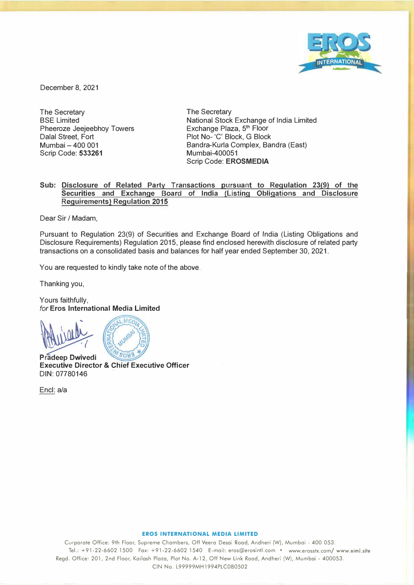

December 8, 2021

The Secretary BSE Limited Pheeroze Jeejeebhoy Towers Dalal Street, Fort Mumbai - 400 001 Scrip Code: **533261**

The Secretary National Stock Exchange of India Limited Exchange Plaza, 5<sup>th</sup> Floor Plot No- 'C' Block, G Block Bandra-Kurla Complex, Sandra (East) Mumbai-400051 Scrip Code: **EROSMEDIA**

# **Sub: Disclosure of Related Party Transactions pursuant to Regulation 23(9) of the Securities and Exchange Board of India (Listing Obligations and Disclosure Requirements) Regulation 2015**

Dear Sir / Madam,

Pursuant to Regulation 23(9) of Securities and Exchange Board of India (Listing Obligations and Disclosure Requirements) Regulation 2015, please find enclosed herewith disclosure of related party transactions on a consolidated basis and balances for half year ended September 30, 2021.

You are requested to kindly take note of the above.

Thanking you,

Yours faithfully, *for* **Eros International Media Limited** 



� **Pradeep Dwivedi Executive Director & Chief Executive Officer**  DIN: 07780146

Encl: a/a

### **EROS INTERNATIONAL MEDIA LIMITED**

Corporate Office: 9th Floor, Supreme Chambers, Off Veera Desai Road, Andheri (W), Mumbai - 400 053. Tel.: +91-22-6602 1500 Fax: +91-22-6602 1540 E-mail: eros@erosintl.com • www.erosstx.com/ www.eiml.site Regd. Office: 201, 2nd Floor, Kailash Plaza, Plot No. A-12, Off New Link Road, Andheri (W), Mumbai - 400053. CIN No. L99999MH1994PLC080502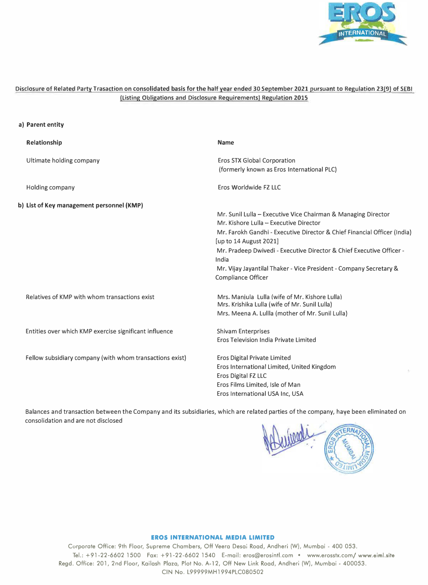

# **Disclosure of Related Party Trasaction on consolidated basis for the half year ended 30 September 2021 pursuant to Regulation 23(9) of SEBI (Listing Obligations and Disclosure Requirements) Regulation 2015**

#### **a) Parent entity**

| Relationship                                             | <b>Name</b>                                                                                                                                                                                                                                                                                                                                                                                |  |  |  |
|----------------------------------------------------------|--------------------------------------------------------------------------------------------------------------------------------------------------------------------------------------------------------------------------------------------------------------------------------------------------------------------------------------------------------------------------------------------|--|--|--|
| Ultimate holding company                                 | Eros STX Global Corporation<br>(formerly known as Eros International PLC)                                                                                                                                                                                                                                                                                                                  |  |  |  |
| Holding company                                          | Eros Worldwide FZ LLC                                                                                                                                                                                                                                                                                                                                                                      |  |  |  |
| b) List of Key management personnel (KMP)                | Mr. Sunil Lulla – Executive Vice Chairman & Managing Director<br>Mr. Kishore Lulla - Executive Director<br>Mr. Farokh Gandhi - Executive Director & Chief Financial Officer (India)<br>[up to 14 August 2021]<br>Mr. Pradeep Dwivedi - Executive Director & Chief Executive Officer -<br>India<br>Mr. Vijay Jayantilal Thaker - Vice President - Company Secretary &<br>Compliance Officer |  |  |  |
| Relatives of KMP with whom transactions exist            | Mrs. Manjula Lulla (wife of Mr. Kishore Lulla)<br>Mrs. Krishika Lulla (wife of Mr. Sunil Lulla)<br>Mrs. Meena A. Lullla (mother of Mr. Sunil Lulla)                                                                                                                                                                                                                                        |  |  |  |
| Entities over which KMP exercise significant influence   | <b>Shivam Enterprises</b><br>Eros Television India Private Limited                                                                                                                                                                                                                                                                                                                         |  |  |  |
| Fellow subsidiary company (with whom transactions exist) | <b>Eros Digital Private Limited</b><br>Eros International Limited, United Kingdom<br>Eros Digital FZ LLC<br>Eros Films Limited, Isle of Man<br>Eros International USA Inc, USA                                                                                                                                                                                                             |  |  |  |

Balances and transaction between the Company and its subsidiaries, which are related parties of the company, haye been eliminated on consolidation and are not disclosed



## **EROS INTERNATIONAL MEDIA LIMITED**

Corporote Office: 9th Floor, Supreme Chambers, Off Veera Desai Road, Andheri (W), Mumbai - 400 053. Tel.: +91-22-6602 1500 Fax: +91-22-6602 1540 E-mail: eros@erosintl.com • www.erosstx.com/ www.eimLsite Regd. Office: 201, 2nd Floor, Kailash Plaza, Plot No. A-12, Off New Link Road, Andheri (W), Mumbai - 400053. CIN No. L99999MH1994PLC080502